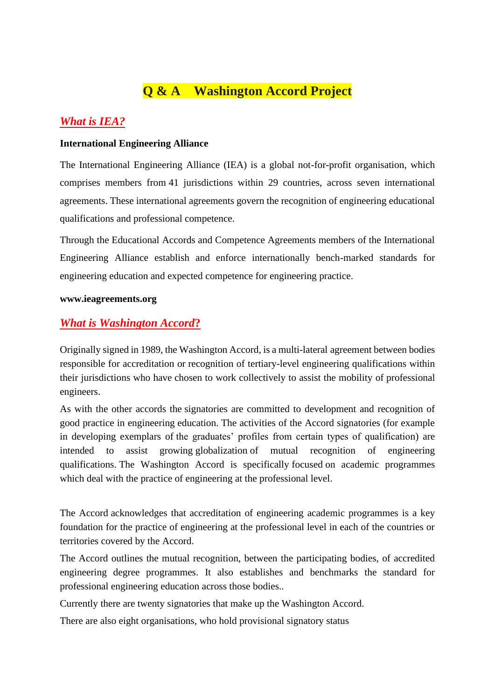# **Q & A Washington Accord Project**

### *What is IEA?*

#### **International Engineering Alliance**

The International Engineering Alliance (IEA) is a global not-for-profit organisation, which comprises members from 41 jurisdictions within 29 countries, across seven international agreements. These international agreements govern the recognition of engineering educational qualifications and professional competence.

Through the Educational Accords and Competence Agreements members of the International Engineering Alliance establish and enforce internationally bench-marked standards for engineering education and expected competence for engineering practice.

#### **www.ieagreements.org**

#### *What is Washington Accord***?**

Originally signed in 1989, the Washington Accord, is a multi-lateral agreement between bodies responsible for accreditation or recognition of tertiary-level engineering qualifications within their jurisdictions who have chosen to work collectively to assist the mobility of professional engineers.

As with the other accords the signatories are committed to development and recognition of good practice in engineering education. The activities of the Accord signatories (for example in developing exemplars of the graduates' profiles from certain types of qualification) are intended to assist growing globalization of mutual recognition of engineering qualifications. The Washington Accord is specifically focused on academic programmes which deal with the practice of engineering at the professional level.

The Accord acknowledges that accreditation of engineering academic programmes is a key foundation for the practice of engineering at the professional level in each of the countries or territories covered by the Accord.

The Accord outlines the mutual recognition, between the participating bodies, of accredited engineering degree programmes. It also establishes and benchmarks the standard for professional engineering education across those bodies..

Currently there are twenty signatories that make up the Washington Accord.

There are also eight organisations, who hold provisional signatory status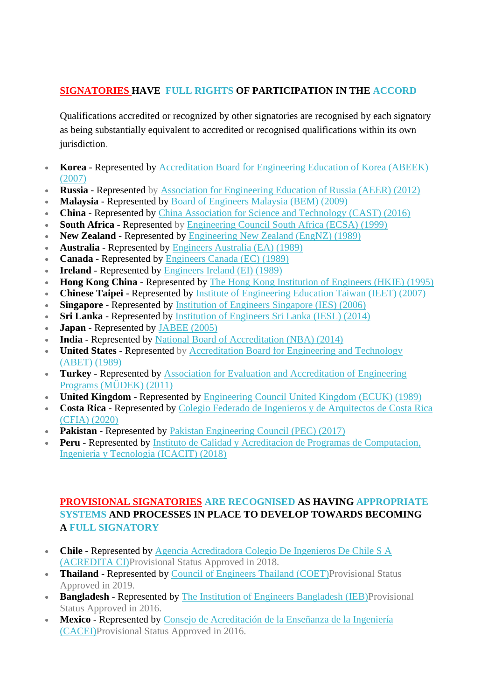#### **SIGNATORIES HAVE FULL RIGHTS OF PARTICIPATION IN THE ACCORD**

Qualifications accredited or recognized by other signatories are recognised by each signatory as being substantially equivalent to accredited or recognised qualifications within its own jurisdiction.

- **Korea** Represented by [Accreditation Board for Engineering Education of Korea \(ABEEK\)](http://www.abeek.or.kr/)  [\(2007\)](http://www.abeek.or.kr/)
- **Russia** Represented by [Association for Engineering Education of Russia \(AEER\) \(2012\)](http://www.ac-raee.ru/en/index.htm)
- **Malaysia** Represented by [Board of Engineers Malaysia \(BEM\) \(2009\)](http://www.bem.org.my/)
- **China** Represented by [China Association for Science and Technology \(CAST\) \(2016\)](http://english.cast.org.cn/)
- **South Africa** Represented by [Engineering Council South Africa \(ECSA\) \(1999\)](http://www.ecsa.co.za/)
- **New Zealand** Represented by [Engineering New Zealand \(EngNZ\) \(1989\)](http://www.engineeringnz.org/)
- **Australia** Represented by [Engineers Australia \(EA\) \(1989\)](http://www.engineersaustralia.org.au/)
- **Canada** Represented by [Engineers Canada \(EC\) \(1989\)](http://www.engineerscanada.ca/)
- **Ireland** Represented by [Engineers Ireland \(EI\) \(1989\)](https://www.ieagreements.org/accords/washington/signatories/www.engineersireland.ie)
- **Hong Kong China** Represented by [The Hong Kong Institution of Engineers \(HKIE\) \(1995\)](http://www.hkie.org.hk/)
- **Chinese Taipei** Represented by [Institute of Engineering Education Taiwan \(IEET\) \(2007\)](http://www.ieet.org.tw/en/)
- **Singapore** Represented by [Institution of Engineers Singapore \(IES\) \(2006\)](https://www.ies.org.sg/Accreditation/EAB10249)
- **Sri Lanka** Represented by [Institution of Engineers Sri Lanka \(IESL\) \(2014\)](http://www.iesl.lk/)
- **Japan** Represented by [JABEE \(2005\)](http://www.jabee.org/en/)
- **India** Represented by [National Board of Accreditation \(NBA\) \(2014\)](http://www.nbaind.org/)
- **United States** Represented by [Accreditation Board for Engineering and Technology](http://www.abet.org/)  [\(ABET\)](http://www.abet.org/) (1989)
- **Turkey** Represented by [Association for Evaluation and Accreditation of Engineering](http://www.mudek.org.tr/en/hak/kisaca.shtm)  [Programs \(MÜDEK\) \(2011\)](http://www.mudek.org.tr/en/hak/kisaca.shtm)
- **United Kingdom** Represented by [Engineering Council United Kingdom \(ECUK\) \(1989\)](http://www.engc.org.uk/)
- **Costa Rica** Represented by [Colegio Federado de Ingenieros y de Arquitectos de Costa Rica](http://www.cfia.or.cr/)  [\(CFIA\) \(2020\)](http://www.cfia.or.cr/)
- **Pakistan** Represented by [Pakistan Engineering Council \(PEC\) \(2017\)](http://www.pec.org.pk/)
- **Peru** Represented by [Instituto de Calidad y Acreditacion de Programas de Computacion,](http://icacit.org.pe/web/eng/)  [Ingenieria y Tecnologia \(ICACIT\) \(2018\)](http://icacit.org.pe/web/eng/)

#### **PROVISIONAL SIGNATORIES ARE RECOGNISED AS HAVING APPROPRIATE SYSTEMS AND PROCESSES IN PLACE TO DEVELOP TOWARDS BECOMING A FULL SIGNATORY**

- **Chile** Represented by [Agencia Acreditadora Colegio De Ingenieros De Chile S A](http://acreditaci.cl/?lang=en)  [\(ACREDITA CI\)P](http://acreditaci.cl/?lang=en)rovisional Status Approved in 2018.
- **Thailand** Represented by [Council of Engineers Thailand \(COET\)P](http://www.coe.or.th/coe-2/eng/main/appMain.php)rovisional Status Approved in 2019.
- **Bangladesh** Represented by [The Institution of Engineers Bangladesh \(IEB\)P](http://www.baetebangladesh.org/)rovisional Status Approved in 2016.
- **Mexico** Represented by [Consejo de Acreditación de la Enseñanza de la Ingeniería](http://cacei.org.mx/)  [\(CACEI\)P](http://cacei.org.mx/)rovisional Status Approved in 2016.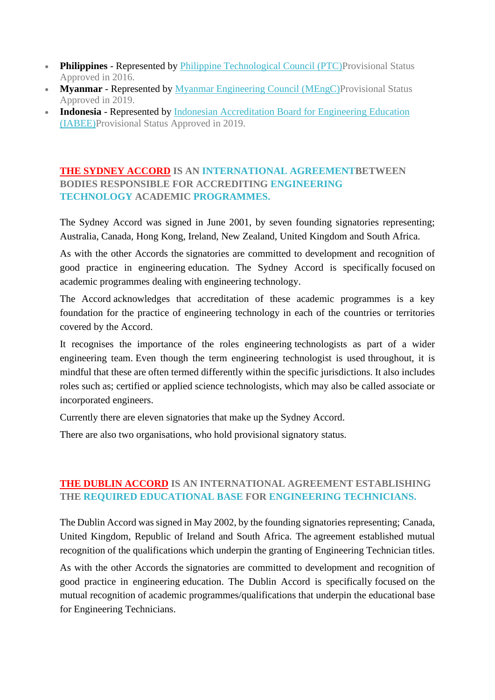- **Philippines** Represented by *[Philippine Technological Council \(PTC\)P](http://www.ptc.org.ph/)rovisional Status* Approved in 2016.
- **Myanmar** Represented by [Myanmar Engineering Council \(MEngC\)P](http://www.myanmarengc.org/)rovisional Status Approved in 2019.
- **Indonesia** Represented by **Indonesian Accreditation Board for Engineering Education** [\(IABEE\)P](https://iabee.or.id/)rovisional Status Approved in 2019.

#### **THE SYDNEY ACCORD IS AN INTERNATIONAL AGREEMENTBETWEEN BODIES RESPONSIBLE FOR ACCREDITING ENGINEERING TECHNOLOGY ACADEMIC PROGRAMMES.**

The Sydney Accord was signed in June 2001, by seven founding signatories representing; Australia, Canada, Hong Kong, Ireland, New Zealand, United Kingdom and South Africa.

As with the other Accords the signatories are committed to development and recognition of good practice in engineering education. The Sydney Accord is specifically focused on academic programmes dealing with engineering technology.

The Accord acknowledges that accreditation of these academic programmes is a key foundation for the practice of engineering technology in each of the countries or territories covered by the Accord.

It recognises the importance of the roles engineering technologists as part of a wider engineering team. Even though the term engineering technologist is used throughout, it is mindful that these are often termed differently within the specific jurisdictions. It also includes roles such as; certified or applied science technologists, which may also be called associate or incorporated engineers.

Currently there are eleven signatories that make up the Sydney Accord.

There are also two organisations, who hold provisional signatory status.

#### **THE DUBLIN ACCORD IS AN INTERNATIONAL AGREEMENT ESTABLISHING THE REQUIRED EDUCATIONAL BASE FOR ENGINEERING TECHNICIANS.**

The Dublin Accord was signed in May 2002, by the founding signatories representing; Canada, United Kingdom, Republic of Ireland and South Africa. The agreement established mutual recognition of the qualifications which underpin the granting of Engineering Technician titles.

As with the other Accords the signatories are committed to development and recognition of good practice in engineering education. The Dublin Accord is specifically focused on the mutual recognition of academic programmes/qualifications that underpin the educational base for Engineering Technicians.